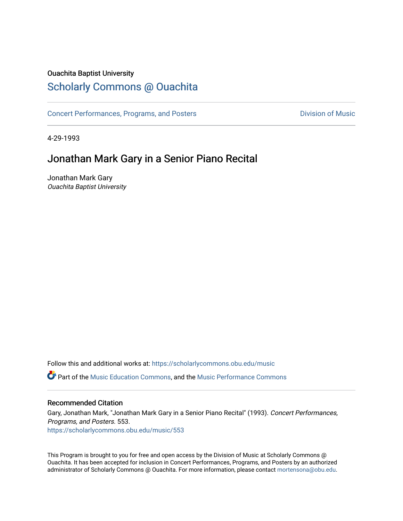#### Ouachita Baptist University

### [Scholarly Commons @ Ouachita](https://scholarlycommons.obu.edu/)

[Concert Performances, Programs, and Posters](https://scholarlycommons.obu.edu/music) **Division of Music** Division of Music

4-29-1993

## Jonathan Mark Gary in a Senior Piano Recital

Jonathan Mark Gary Ouachita Baptist University

Follow this and additional works at: [https://scholarlycommons.obu.edu/music](https://scholarlycommons.obu.edu/music?utm_source=scholarlycommons.obu.edu%2Fmusic%2F553&utm_medium=PDF&utm_campaign=PDFCoverPages) 

**C** Part of the [Music Education Commons,](http://network.bepress.com/hgg/discipline/1246?utm_source=scholarlycommons.obu.edu%2Fmusic%2F553&utm_medium=PDF&utm_campaign=PDFCoverPages) and the Music Performance Commons

#### Recommended Citation

Gary, Jonathan Mark, "Jonathan Mark Gary in a Senior Piano Recital" (1993). Concert Performances, Programs, and Posters. 553. [https://scholarlycommons.obu.edu/music/553](https://scholarlycommons.obu.edu/music/553?utm_source=scholarlycommons.obu.edu%2Fmusic%2F553&utm_medium=PDF&utm_campaign=PDFCoverPages) 

This Program is brought to you for free and open access by the Division of Music at Scholarly Commons @ Ouachita. It has been accepted for inclusion in Concert Performances, Programs, and Posters by an authorized administrator of Scholarly Commons @ Ouachita. For more information, please contact [mortensona@obu.edu](mailto:mortensona@obu.edu).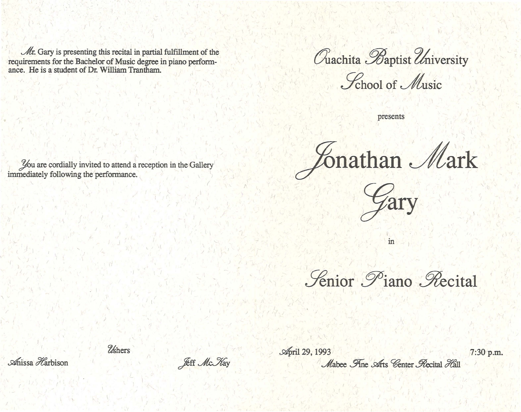$\mathcal{M}$ r. Gary is presenting this recital in partial fulfillment of the requirements for the Bachelor of Music degree in piano performance. He is a student of Dr. William Trantham.

You are cordially invited to attend a reception in the Gallery

immediately following the performance.

Quachita Baptist University

Lehool of Music

presents

Zonathan Mark



in

*Fenior Piano Recital* 

Mabee Fine Arts Center Recital Hall

*Ushers* 

**Jeff Mc Kay** 

**April 29, 1993** 

7:30 p.m.

Anissa Harbison